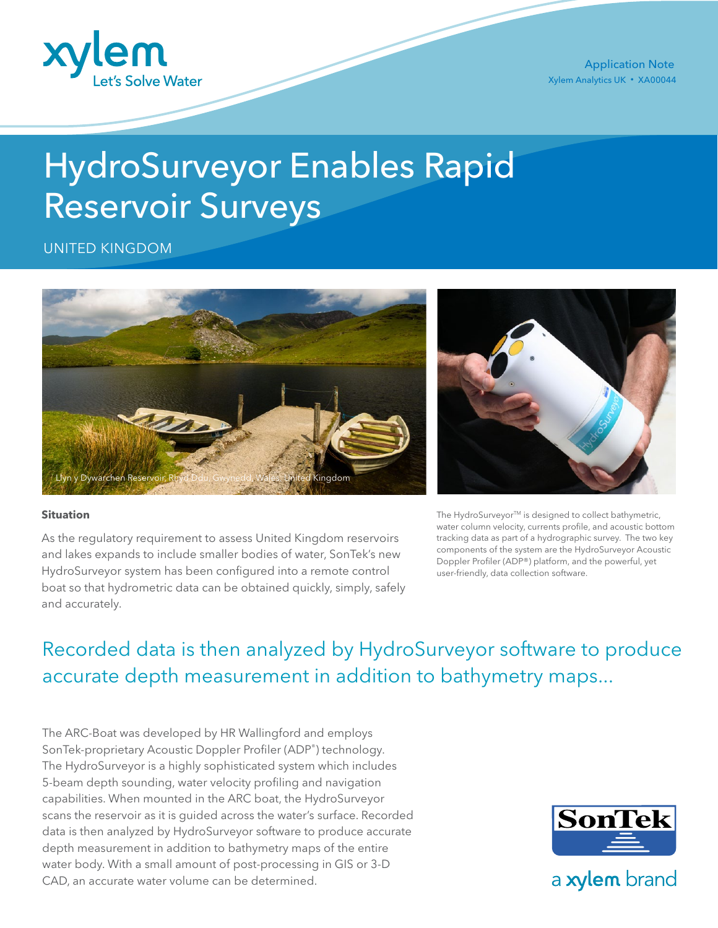

Xylem Analytics UK • XA00044 Application Note

# HydroSurveyor Enables Rapid Reservoir Surveys

UNITED KINGDOM



## **Situation**

As the regulatory requirement to assess United Kingdom reservoirs and lakes expands to include smaller bodies of water, SonTek's new HydroSurveyor system has been configured into a remote control boat so that hydrometric data can be obtained quickly, simply, safely and accurately.



The HydroSurveyor™ is designed to collect bathymetric, water column velocity, currents profile, and acoustic bottom tracking data as part of a hydrographic survey. The two key components of the system are the HydroSurveyor Acoustic Doppler Profiler (ADP®) platform, and the powerful, yet user-friendly, data collection software.

## Recorded data is then analyzed by HydroSurveyor software to produce accurate depth measurement in addition to bathymetry maps...

The ARC-Boat was developed by HR Wallingford and employs SonTek-proprietary Acoustic Doppler Profiler (ADP®) technology. The HydroSurveyor is a highly sophisticated system which includes 5-beam depth sounding, water velocity profiling and navigation capabilities. When mounted in the ARC boat, the HydroSurveyor scans the reservoir as it is guided across the water's surface. Recorded data is then analyzed by HydroSurveyor software to produce accurate depth measurement in addition to bathymetry maps of the entire water body. With a small amount of post-processing in GIS or 3-D CAD, an accurate water volume can be determined.



a xylem brand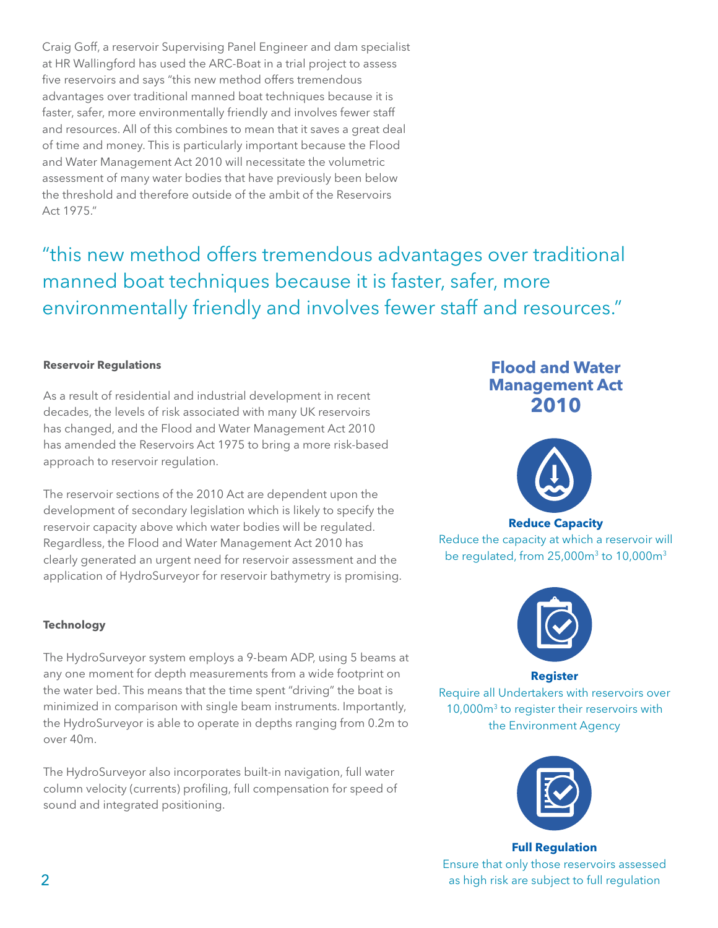Craig Goff, a reservoir Supervising Panel Engineer and dam specialist at HR Wallingford has used the ARC-Boat in a trial project to assess five reservoirs and says "this new method offers tremendous advantages over traditional manned boat techniques because it is faster, safer, more environmentally friendly and involves fewer staff and resources. All of this combines to mean that it saves a great deal of time and money. This is particularly important because the Flood and Water Management Act 2010 will necessitate the volumetric assessment of many water bodies that have previously been below the threshold and therefore outside of the ambit of the Reservoirs Act 1975."

"this new method offers tremendous advantages over traditional manned boat techniques because it is faster, safer, more environmentally friendly and involves fewer staff and resources."

## **Reservoir Regulations**

As a result of residential and industrial development in recent decades, the levels of risk associated with many UK reservoirs has changed, and the Flood and Water Management Act 2010 has amended the Reservoirs Act 1975 to bring a more risk-based approach to reservoir regulation.

The reservoir sections of the 2010 Act are dependent upon the development of secondary legislation which is likely to specify the reservoir capacity above which water bodies will be regulated. Regardless, the Flood and Water Management Act 2010 has clearly generated an urgent need for reservoir assessment and the application of HydroSurveyor for reservoir bathymetry is promising.

## **Technology**

The HydroSurveyor system employs a 9-beam ADP, using 5 beams at any one moment for depth measurements from a wide footprint on the water bed. This means that the time spent "driving" the boat is minimized in comparison with single beam instruments. Importantly, the HydroSurveyor is able to operate in depths ranging from 0.2m to over 40m.

The HydroSurveyor also incorporates built-in navigation, full water column velocity (currents) profiling, full compensation for speed of sound and integrated positioning.

## **Flood and Water Management Act 2010**



**Reduce Capacity** 

Reduce the capacity at which a reservoir will be regulated, from  $25,000m^3$  to  $10,000m^3$ 



**Register** Require all Undertakers with reservoirs over 10,000m3 to register their reservoirs with the Environment Agency



**Full Regulation** Ensure that only those reservoirs assessed as high risk are subject to full regulation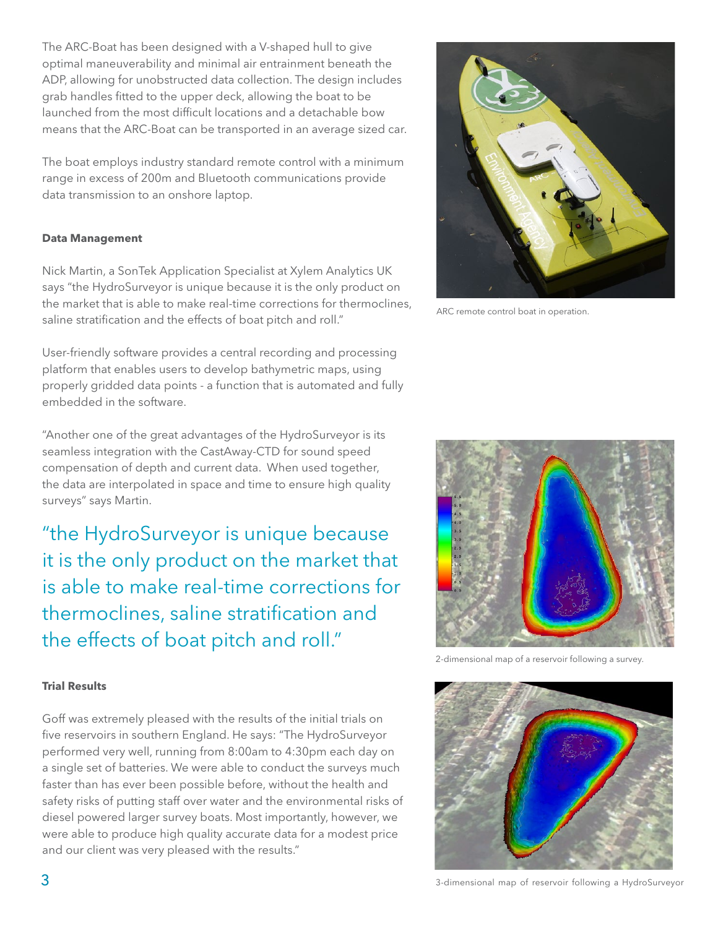The ARC-Boat has been designed with a V-shaped hull to give optimal maneuverability and minimal air entrainment beneath the ADP, allowing for unobstructed data collection. The design includes grab handles fitted to the upper deck, allowing the boat to be launched from the most difficult locations and a detachable bow means that the ARC-Boat can be transported in an average sized car.

The boat employs industry standard remote control with a minimum range in excess of 200m and Bluetooth communications provide data transmission to an onshore laptop.

## **Data Management**

Nick Martin, a SonTek Application Specialist at Xylem Analytics UK says "the HydroSurveyor is unique because it is the only product on the market that is able to make real-time corrections for thermoclines, saline stratification and the effects of boat pitch and roll."

User-friendly software provides a central recording and processing platform that enables users to develop bathymetric maps, using properly gridded data points - a function that is automated and fully embedded in the software.

"Another one of the great advantages of the HydroSurveyor is its seamless integration with the CastAway-CTD for sound speed compensation of depth and current data. When used together, the data are interpolated in space and time to ensure high quality surveys" says Martin.

"the HydroSurveyor is unique because it is the only product on the market that is able to make real-time corrections for thermoclines, saline stratification and the effects of boat pitch and roll."



ARC remote control boat in operation.



2-dimensional map of a reservoir following a survey.

## **Trial Results**

Goff was extremely pleased with the results of the initial trials on five reservoirs in southern England. He says: "The HydroSurveyor performed very well, running from 8:00am to 4:30pm each day on a single set of batteries. We were able to conduct the surveys much faster than has ever been possible before, without the health and safety risks of putting staff over water and the environmental risks of diesel powered larger survey boats. Most importantly, however, we were able to produce high quality accurate data for a modest price and our client was very pleased with the results."



3-dimensional map of reservoir following a HydroSurveyor